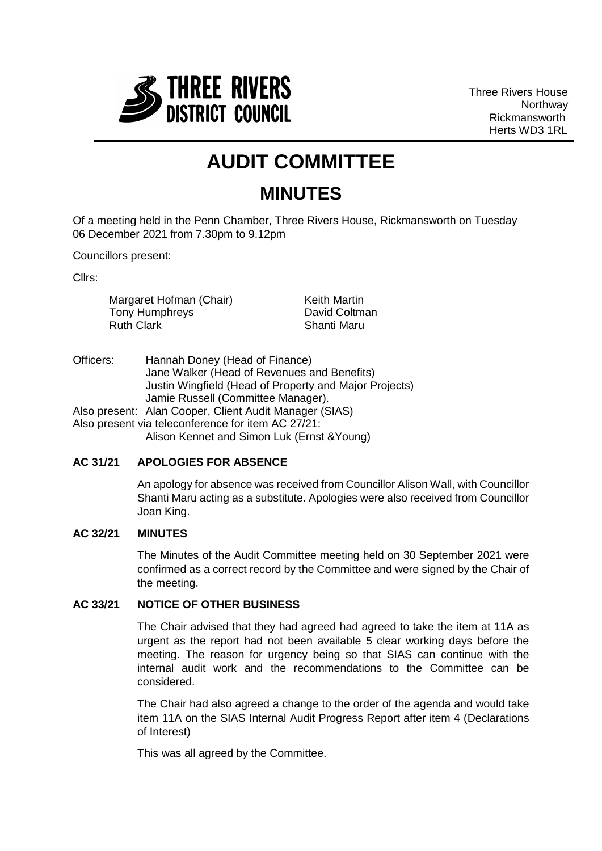

Three Rivers House **Northway** Rickmansworth Herts WD3 1RL

# **AUDIT COMMITTEE**

# **MINUTES**

Of a meeting held in the Penn Chamber, Three Rivers House, Rickmansworth on Tuesday 06 December 2021 from 7.30pm to 9.12pm

Councillors present:

Cllrs:

Margaret Hofman (Chair) Tony Humphreys Ruth Clark

Keith Martin David Coltman Shanti Maru

Officers: Hannah Doney (Head of Finance) Jane Walker (Head of Revenues and Benefits) Justin Wingfield (Head of Property and Major Projects) Jamie Russell (Committee Manager). Also present: Alan Cooper, Client Audit Manager (SIAS) Also present via teleconference for item AC 27/21:

Alison Kennet and Simon Luk (Ernst &Young)

# **AC 31/21 APOLOGIES FOR ABSENCE**

An apology for absence was received from Councillor Alison Wall, with Councillor Shanti Maru acting as a substitute. Apologies were also received from Councillor Joan King.

# **AC 32/21 MINUTES**

The Minutes of the Audit Committee meeting held on 30 September 2021 were confirmed as a correct record by the Committee and were signed by the Chair of the meeting.

### **AC 33/21 NOTICE OF OTHER BUSINESS**

The Chair advised that they had agreed had agreed to take the item at 11A as urgent as the report had not been available 5 clear working days before the meeting. The reason for urgency being so that SIAS can continue with the internal audit work and the recommendations to the Committee can be considered.

The Chair had also agreed a change to the order of the agenda and would take item 11A on the SIAS Internal Audit Progress Report after item 4 (Declarations of Interest)

This was all agreed by the Committee.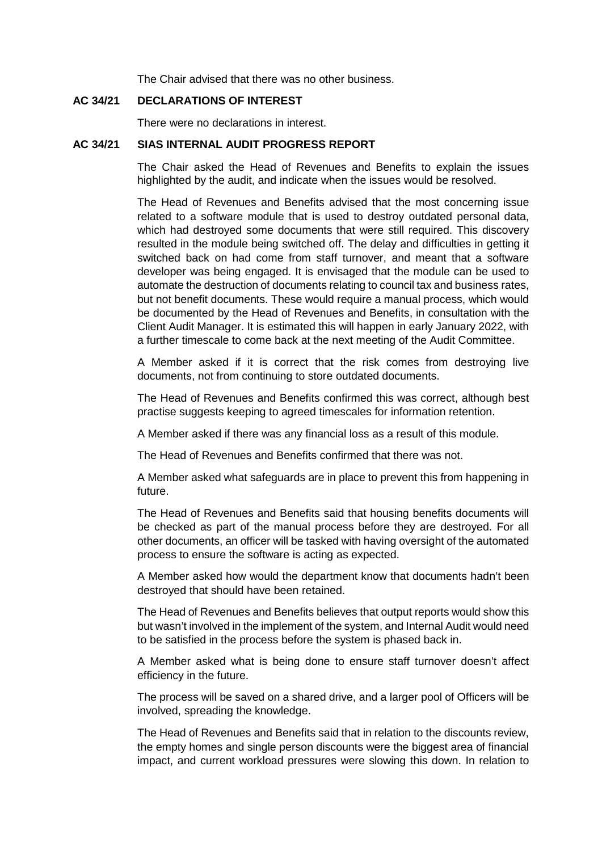The Chair advised that there was no other business.

# **AC 34/21 DECLARATIONS OF INTEREST**

There were no declarations in interest.

#### **AC 34/21 SIAS INTERNAL AUDIT PROGRESS REPORT**

The Chair asked the Head of Revenues and Benefits to explain the issues highlighted by the audit, and indicate when the issues would be resolved.

The Head of Revenues and Benefits advised that the most concerning issue related to a software module that is used to destroy outdated personal data, which had destroyed some documents that were still required. This discovery resulted in the module being switched off. The delay and difficulties in getting it switched back on had come from staff turnover, and meant that a software developer was being engaged. It is envisaged that the module can be used to automate the destruction of documents relating to council tax and business rates, but not benefit documents. These would require a manual process, which would be documented by the Head of Revenues and Benefits, in consultation with the Client Audit Manager. It is estimated this will happen in early January 2022, with a further timescale to come back at the next meeting of the Audit Committee.

A Member asked if it is correct that the risk comes from destroying live documents, not from continuing to store outdated documents.

The Head of Revenues and Benefits confirmed this was correct, although best practise suggests keeping to agreed timescales for information retention.

A Member asked if there was any financial loss as a result of this module.

The Head of Revenues and Benefits confirmed that there was not.

A Member asked what safeguards are in place to prevent this from happening in future.

The Head of Revenues and Benefits said that housing benefits documents will be checked as part of the manual process before they are destroyed. For all other documents, an officer will be tasked with having oversight of the automated process to ensure the software is acting as expected.

A Member asked how would the department know that documents hadn't been destroyed that should have been retained.

The Head of Revenues and Benefits believes that output reports would show this but wasn't involved in the implement of the system, and Internal Audit would need to be satisfied in the process before the system is phased back in.

A Member asked what is being done to ensure staff turnover doesn't affect efficiency in the future.

The process will be saved on a shared drive, and a larger pool of Officers will be involved, spreading the knowledge.

The Head of Revenues and Benefits said that in relation to the discounts review, the empty homes and single person discounts were the biggest area of financial impact, and current workload pressures were slowing this down. In relation to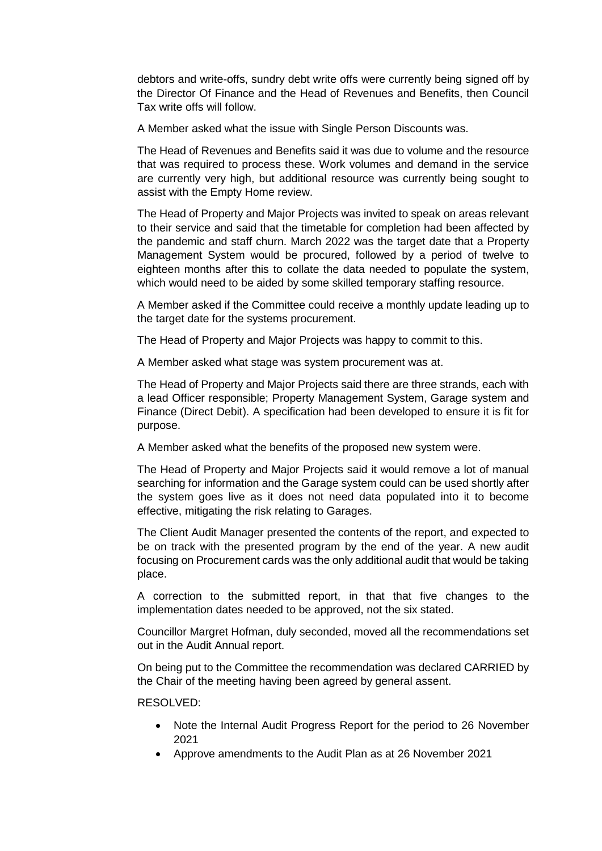debtors and write-offs, sundry debt write offs were currently being signed off by the Director Of Finance and the Head of Revenues and Benefits, then Council Tax write offs will follow.

A Member asked what the issue with Single Person Discounts was.

The Head of Revenues and Benefits said it was due to volume and the resource that was required to process these. Work volumes and demand in the service are currently very high, but additional resource was currently being sought to assist with the Empty Home review.

The Head of Property and Major Projects was invited to speak on areas relevant to their service and said that the timetable for completion had been affected by the pandemic and staff churn. March 2022 was the target date that a Property Management System would be procured, followed by a period of twelve to eighteen months after this to collate the data needed to populate the system, which would need to be aided by some skilled temporary staffing resource.

A Member asked if the Committee could receive a monthly update leading up to the target date for the systems procurement.

The Head of Property and Major Projects was happy to commit to this.

A Member asked what stage was system procurement was at.

The Head of Property and Major Projects said there are three strands, each with a lead Officer responsible; Property Management System, Garage system and Finance (Direct Debit). A specification had been developed to ensure it is fit for purpose.

A Member asked what the benefits of the proposed new system were.

The Head of Property and Major Projects said it would remove a lot of manual searching for information and the Garage system could can be used shortly after the system goes live as it does not need data populated into it to become effective, mitigating the risk relating to Garages.

The Client Audit Manager presented the contents of the report, and expected to be on track with the presented program by the end of the year. A new audit focusing on Procurement cards was the only additional audit that would be taking place.

A correction to the submitted report, in that that five changes to the implementation dates needed to be approved, not the six stated.

Councillor Margret Hofman, duly seconded, moved all the recommendations set out in the Audit Annual report.

On being put to the Committee the recommendation was declared CARRIED by the Chair of the meeting having been agreed by general assent.

#### RESOLVED:

- Note the Internal Audit Progress Report for the period to 26 November 2021
- Approve amendments to the Audit Plan as at 26 November 2021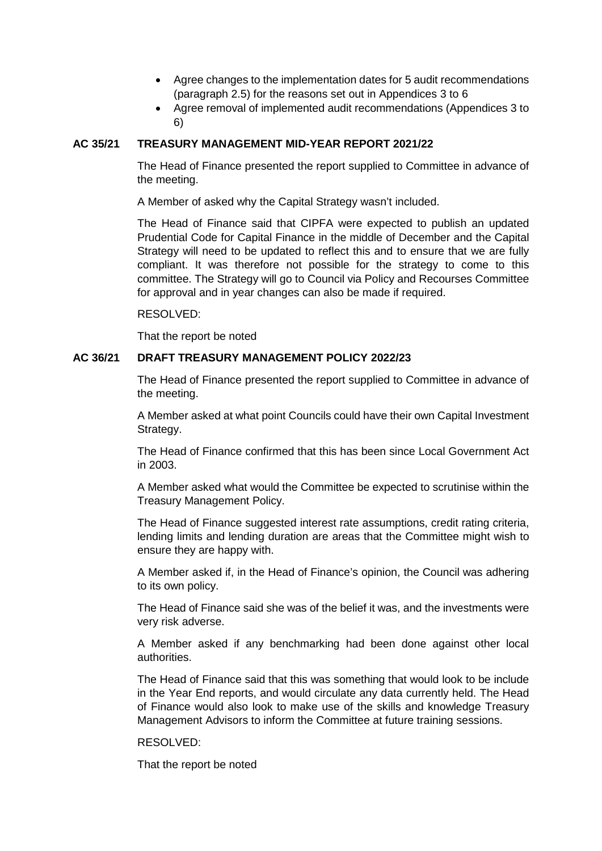- Agree changes to the implementation dates for 5 audit recommendations (paragraph 2.5) for the reasons set out in Appendices 3 to 6
- Agree removal of implemented audit recommendations (Appendices 3 to 6)

# **AC 35/21 TREASURY MANAGEMENT MID-YEAR REPORT 2021/22**

The Head of Finance presented the report supplied to Committee in advance of the meeting.

A Member of asked why the Capital Strategy wasn't included.

The Head of Finance said that CIPFA were expected to publish an updated Prudential Code for Capital Finance in the middle of December and the Capital Strategy will need to be updated to reflect this and to ensure that we are fully compliant. It was therefore not possible for the strategy to come to this committee. The Strategy will go to Council via Policy and Recourses Committee for approval and in year changes can also be made if required.

#### RESOLVED:

That the report be noted

#### **AC 36/21 DRAFT TREASURY MANAGEMENT POLICY 2022/23**

The Head of Finance presented the report supplied to Committee in advance of the meeting.

A Member asked at what point Councils could have their own Capital Investment Strategy.

The Head of Finance confirmed that this has been since Local Government Act in 2003.

A Member asked what would the Committee be expected to scrutinise within the Treasury Management Policy.

The Head of Finance suggested interest rate assumptions, credit rating criteria, lending limits and lending duration are areas that the Committee might wish to ensure they are happy with.

A Member asked if, in the Head of Finance's opinion, the Council was adhering to its own policy.

The Head of Finance said she was of the belief it was, and the investments were very risk adverse.

A Member asked if any benchmarking had been done against other local authorities.

The Head of Finance said that this was something that would look to be include in the Year End reports, and would circulate any data currently held. The Head of Finance would also look to make use of the skills and knowledge Treasury Management Advisors to inform the Committee at future training sessions.

#### RESOLVED:

That the report be noted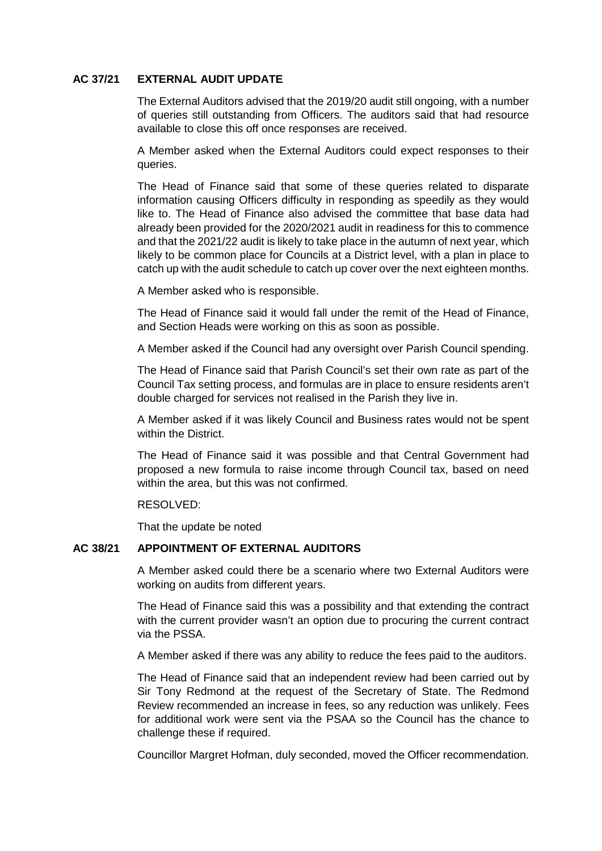# **AC 37/21 EXTERNAL AUDIT UPDATE**

The External Auditors advised that the 2019/20 audit still ongoing, with a number of queries still outstanding from Officers. The auditors said that had resource available to close this off once responses are received.

A Member asked when the External Auditors could expect responses to their queries.

The Head of Finance said that some of these queries related to disparate information causing Officers difficulty in responding as speedily as they would like to. The Head of Finance also advised the committee that base data had already been provided for the 2020/2021 audit in readiness for this to commence and that the 2021/22 audit is likely to take place in the autumn of next year, which likely to be common place for Councils at a District level, with a plan in place to catch up with the audit schedule to catch up cover over the next eighteen months.

A Member asked who is responsible.

The Head of Finance said it would fall under the remit of the Head of Finance, and Section Heads were working on this as soon as possible.

A Member asked if the Council had any oversight over Parish Council spending.

The Head of Finance said that Parish Council's set their own rate as part of the Council Tax setting process, and formulas are in place to ensure residents aren't double charged for services not realised in the Parish they live in.

A Member asked if it was likely Council and Business rates would not be spent within the District.

The Head of Finance said it was possible and that Central Government had proposed a new formula to raise income through Council tax, based on need within the area, but this was not confirmed.

#### RESOLVED:

That the update be noted

# **AC 38/21 APPOINTMENT OF EXTERNAL AUDITORS**

A Member asked could there be a scenario where two External Auditors were working on audits from different years.

The Head of Finance said this was a possibility and that extending the contract with the current provider wasn't an option due to procuring the current contract via the PSSA.

A Member asked if there was any ability to reduce the fees paid to the auditors.

The Head of Finance said that an independent review had been carried out by Sir Tony Redmond at the request of the Secretary of State. The Redmond Review recommended an increase in fees, so any reduction was unlikely. Fees for additional work were sent via the PSAA so the Council has the chance to challenge these if required.

Councillor Margret Hofman, duly seconded, moved the Officer recommendation.